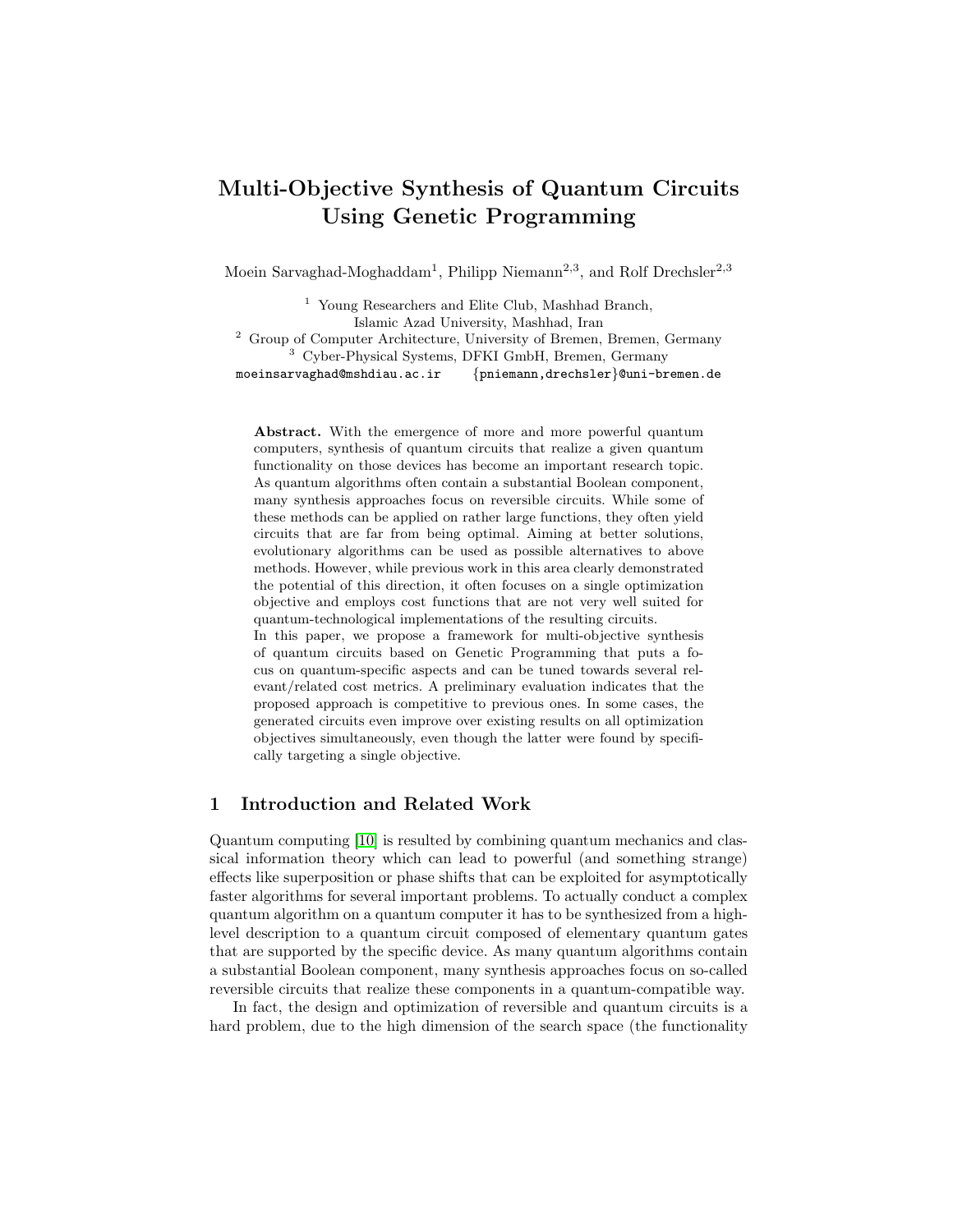# Multi-Objective Synthesis of Quantum Circuits Using Genetic Programming

Moein Sarvaghad-Moghaddam<sup>1</sup>, Philipp Niemann<sup>2,3</sup>, and Rolf Drechsler<sup>2,3</sup>

<sup>1</sup> Young Researchers and Elite Club, Mashhad Branch, Islamic Azad University, Mashhad, Iran <sup>2</sup> Group of Computer Architecture, University of Bremen, Bremen, Germany <sup>3</sup> Cyber-Physical Systems, DFKI GmbH, Bremen, Germany moeinsarvaghad@mshdiau.ac.ir {pniemann,drechsler}@uni-bremen.de

Abstract. With the emergence of more and more powerful quantum computers, synthesis of quantum circuits that realize a given quantum functionality on those devices has become an important research topic. As quantum algorithms often contain a substantial Boolean component, many synthesis approaches focus on reversible circuits. While some of these methods can be applied on rather large functions, they often yield circuits that are far from being optimal. Aiming at better solutions, evolutionary algorithms can be used as possible alternatives to above methods. However, while previous work in this area clearly demonstrated the potential of this direction, it often focuses on a single optimization objective and employs cost functions that are not very well suited for quantum-technological implementations of the resulting circuits. In this paper, we propose a framework for multi-objective synthesis

of quantum circuits based on Genetic Programming that puts a focus on quantum-specific aspects and can be tuned towards several relevant/related cost metrics. A preliminary evaluation indicates that the proposed approach is competitive to previous ones. In some cases, the generated circuits even improve over existing results on all optimization objectives simultaneously, even though the latter were found by specifically targeting a single objective.

## 1 Introduction and Related Work

Quantum computing [\[10\]](#page-6-0) is resulted by combining quantum mechanics and classical information theory which can lead to powerful (and something strange) effects like superposition or phase shifts that can be exploited for asymptotically faster algorithms for several important problems. To actually conduct a complex quantum algorithm on a quantum computer it has to be synthesized from a highlevel description to a quantum circuit composed of elementary quantum gates that are supported by the specific device. As many quantum algorithms contain a substantial Boolean component, many synthesis approaches focus on so-called reversible circuits that realize these components in a quantum-compatible way.

In fact, the design and optimization of reversible and quantum circuits is a hard problem, due to the high dimension of the search space (the functionality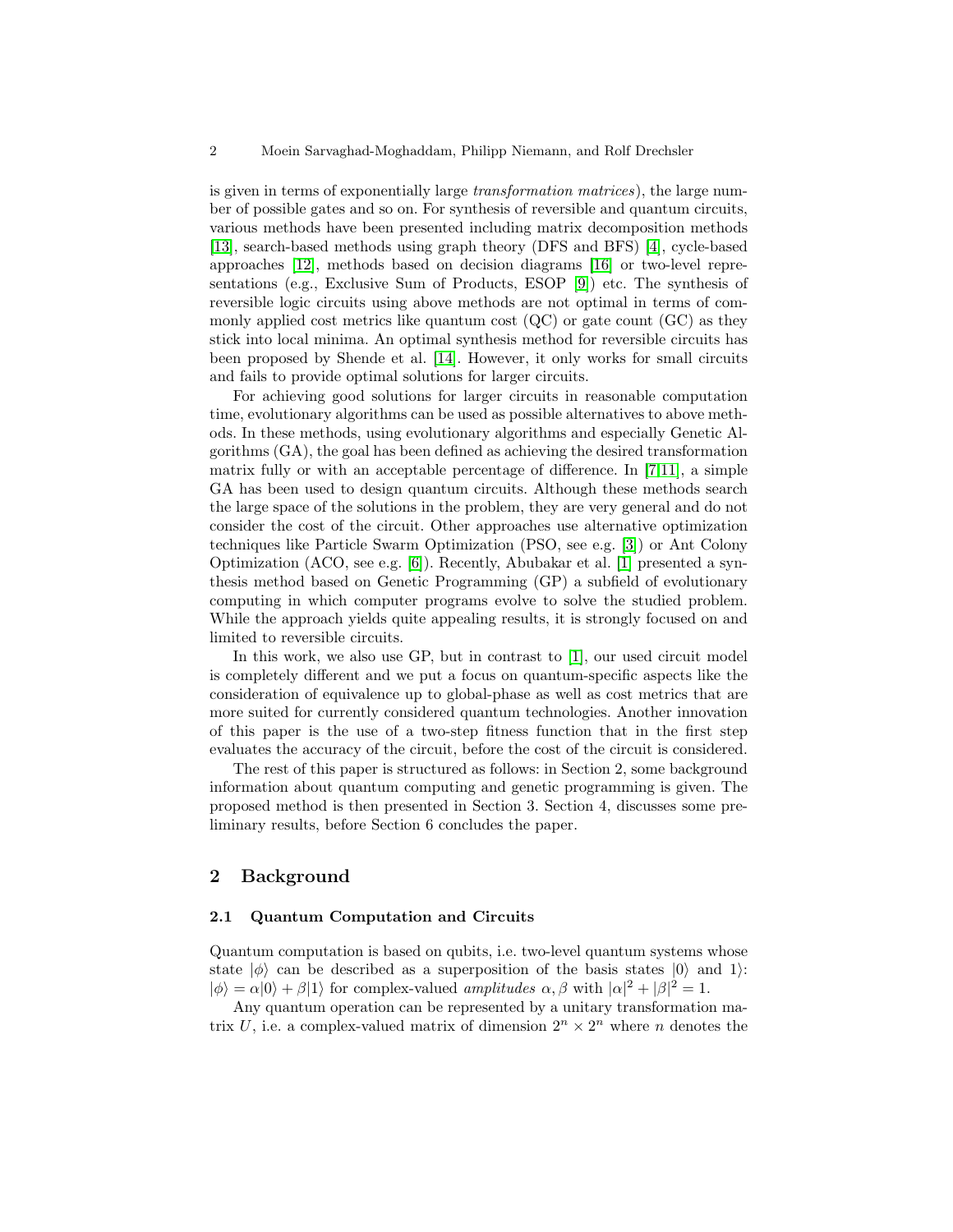is given in terms of exponentially large transformation matrices), the large number of possible gates and so on. For synthesis of reversible and quantum circuits, various methods have been presented including matrix decomposition methods [\[13\]](#page-6-1), search-based methods using graph theory (DFS and BFS) [\[4\]](#page-6-2), cycle-based approaches [\[12\]](#page-6-3), methods based on decision diagrams [\[16\]](#page-6-4) or two-level representations (e.g., Exclusive Sum of Products, ESOP [\[9\]](#page-6-5)) etc. The synthesis of reversible logic circuits using above methods are not optimal in terms of commonly applied cost metrics like quantum cost (QC) or gate count (GC) as they stick into local minima. An optimal synthesis method for reversible circuits has been proposed by Shende et al. [\[14\]](#page-6-6). However, it only works for small circuits and fails to provide optimal solutions for larger circuits.

For achieving good solutions for larger circuits in reasonable computation time, evolutionary algorithms can be used as possible alternatives to above methods. In these methods, using evolutionary algorithms and especially Genetic Algorithms (GA), the goal has been defined as achieving the desired transformation matrix fully or with an acceptable percentage of difference. In [\[7,](#page-6-7)[11\]](#page-6-8), a simple GA has been used to design quantum circuits. Although these methods search the large space of the solutions in the problem, they are very general and do not consider the cost of the circuit. Other approaches use alternative optimization techniques like Particle Swarm Optimization (PSO, see e.g. [\[3\]](#page-6-9)) or Ant Colony Optimization (ACO, see e.g. [\[6\]](#page-6-10)). Recently, Abubakar et al. [\[1\]](#page-6-11) presented a synthesis method based on Genetic Programming (GP) a subfield of evolutionary computing in which computer programs evolve to solve the studied problem. While the approach yields quite appealing results, it is strongly focused on and limited to reversible circuits.

In this work, we also use GP, but in contrast to [\[1\]](#page-6-11), our used circuit model is completely different and we put a focus on quantum-specific aspects like the consideration of equivalence up to global-phase as well as cost metrics that are more suited for currently considered quantum technologies. Another innovation of this paper is the use of a two-step fitness function that in the first step evaluates the accuracy of the circuit, before the cost of the circuit is considered.

The rest of this paper is structured as follows: in Section 2, some background information about quantum computing and genetic programming is given. The proposed method is then presented in Section 3. Section 4, discusses some preliminary results, before Section 6 concludes the paper.

## 2 Background

#### 2.1 Quantum Computation and Circuits

Quantum computation is based on qubits, i.e. two-level quantum systems whose state  $|\phi\rangle$  can be described as a superposition of the basis states  $|0\rangle$  and 1):  $|\phi\rangle = \alpha|0\rangle + \beta|1\rangle$  for complex-valued amplitudes  $\alpha, \beta$  with  $|\alpha|^2 + |\beta|^2 = 1$ .

Any quantum operation can be represented by a unitary transformation matrix U, i.e. a complex-valued matrix of dimension  $2^n \times 2^n$  where n denotes the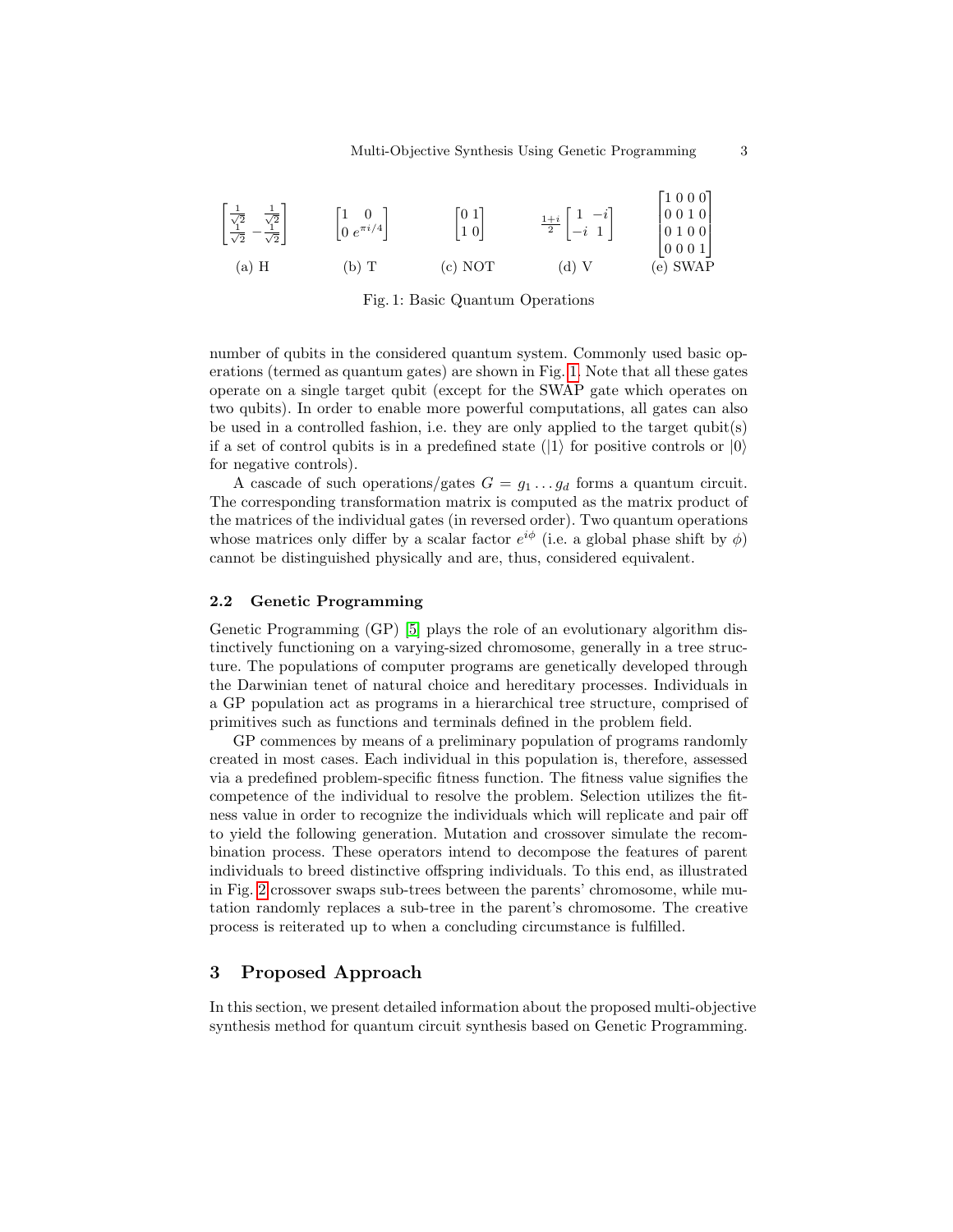<span id="page-2-0"></span>

| $\begin{bmatrix} \frac{1}{\sqrt{2}} & \frac{1}{\sqrt{2}} \\ \frac{1}{\sqrt{2}} & -\frac{1}{\sqrt{2}} \end{bmatrix}$ | $\begin{bmatrix} 1 & 0 \\ 0 & e^{\pi i/4} \end{bmatrix}$ | $\begin{bmatrix} 0 & 1 \\ 1 & 0 \end{bmatrix}$ | $rac{1+i}{2}$ $\begin{bmatrix} 1 & -i \\ -i & 1 \end{bmatrix}$ | [1000]<br> 0010 <br>$\left \begin{array}{ccc} 0 & 1 & 0 & 0 \\ 0 & 0 & 0 & 1 \end{array}\right $ |
|---------------------------------------------------------------------------------------------------------------------|----------------------------------------------------------|------------------------------------------------|----------------------------------------------------------------|--------------------------------------------------------------------------------------------------|
| $(a)$ H                                                                                                             | (b) T                                                    | (c) NOT                                        | $(d)$ V                                                        | (e) SWAP                                                                                         |

Fig. 1: Basic Quantum Operations

number of qubits in the considered quantum system. Commonly used basic operations (termed as quantum gates) are shown in Fig. [1.](#page-2-0) Note that all these gates operate on a single target qubit (except for the SWAP gate which operates on two qubits). In order to enable more powerful computations, all gates can also be used in a controlled fashion, i.e. they are only applied to the target qubit(s) if a set of control qubits is in a predefined state ( $|1\rangle$  for positive controls or  $|0\rangle$ ) for negative controls).

A cascade of such operations/gates  $G = g_1 \dots g_d$  forms a quantum circuit. The corresponding transformation matrix is computed as the matrix product of the matrices of the individual gates (in reversed order). Two quantum operations whose matrices only differ by a scalar factor  $e^{i\phi}$  (i.e. a global phase shift by  $\phi$ ) cannot be distinguished physically and are, thus, considered equivalent.

#### 2.2 Genetic Programming

Genetic Programming (GP) [\[5\]](#page-6-12) plays the role of an evolutionary algorithm distinctively functioning on a varying-sized chromosome, generally in a tree structure. The populations of computer programs are genetically developed through the Darwinian tenet of natural choice and hereditary processes. Individuals in a GP population act as programs in a hierarchical tree structure, comprised of primitives such as functions and terminals defined in the problem field.

GP commences by means of a preliminary population of programs randomly created in most cases. Each individual in this population is, therefore, assessed via a predefined problem-specific fitness function. The fitness value signifies the competence of the individual to resolve the problem. Selection utilizes the fitness value in order to recognize the individuals which will replicate and pair off to yield the following generation. Mutation and crossover simulate the recombination process. These operators intend to decompose the features of parent individuals to breed distinctive offspring individuals. To this end, as illustrated in Fig. [2](#page-3-0) crossover swaps sub-trees between the parents' chromosome, while mutation randomly replaces a sub-tree in the parent's chromosome. The creative process is reiterated up to when a concluding circumstance is fulfilled.

## 3 Proposed Approach

In this section, we present detailed information about the proposed multi-objective synthesis method for quantum circuit synthesis based on Genetic Programming.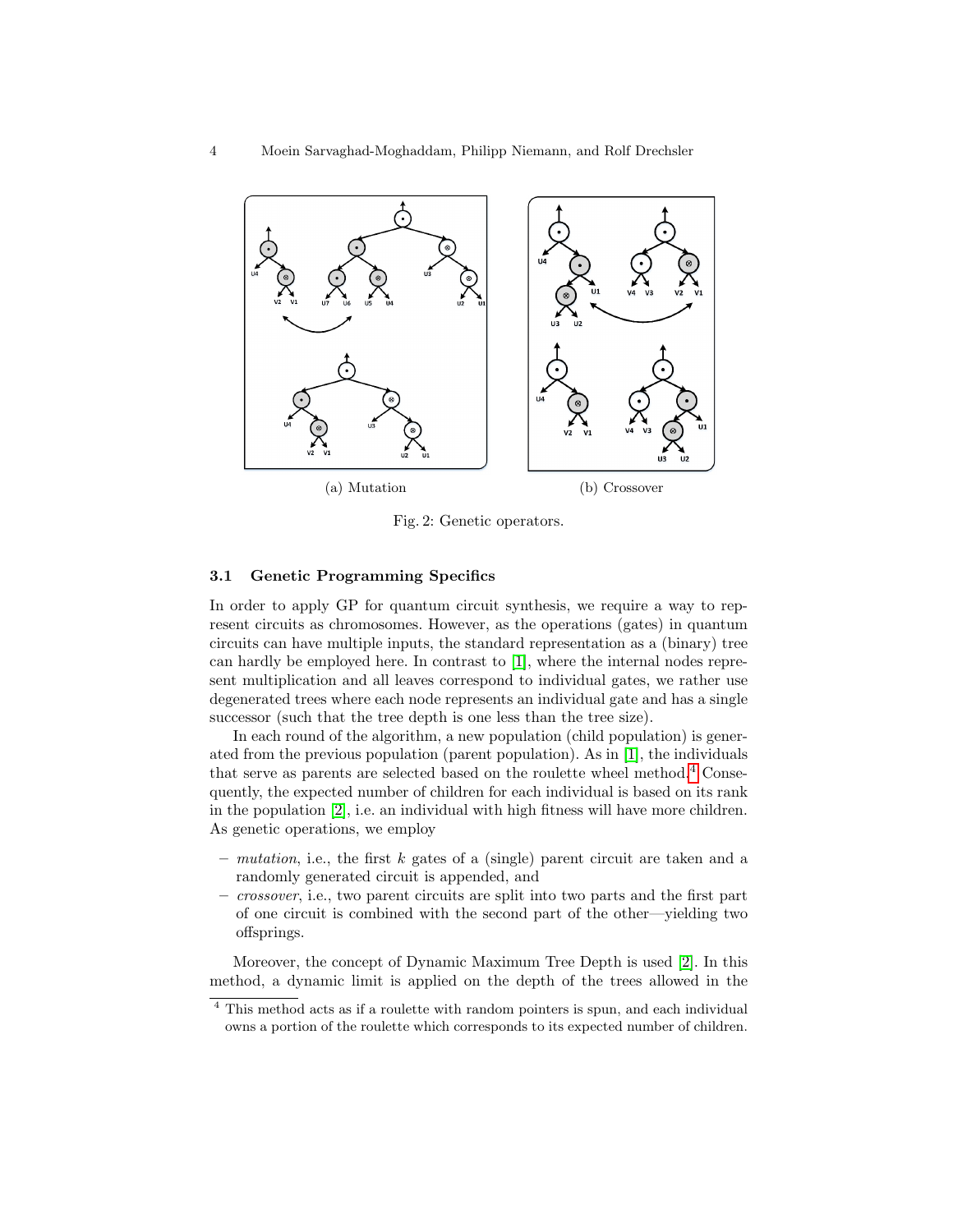<span id="page-3-0"></span>

Fig. 2: Genetic operators.

#### 3.1 Genetic Programming Specifics

In order to apply GP for quantum circuit synthesis, we require a way to represent circuits as chromosomes. However, as the operations (gates) in quantum circuits can have multiple inputs, the standard representation as a (binary) tree can hardly be employed here. In contrast to [\[1\]](#page-6-11), where the internal nodes represent multiplication and all leaves correspond to individual gates, we rather use degenerated trees where each node represents an individual gate and has a single successor (such that the tree depth is one less than the tree size).

In each round of the algorithm, a new population (child population) is generated from the previous population (parent population). As in [\[1\]](#page-6-11), the individuals that serve as parents are selected based on the roulette wheel method.<sup>[4](#page-3-1)</sup> Consequently, the expected number of children for each individual is based on its rank in the population [\[2\]](#page-6-13), i.e. an individual with high fitness will have more children. As genetic operations, we employ

- mutation, i.e., the first k gates of a (single) parent circuit are taken and a randomly generated circuit is appended, and
- crossover, i.e., two parent circuits are split into two parts and the first part of one circuit is combined with the second part of the other—yielding two offsprings.

Moreover, the concept of Dynamic Maximum Tree Depth is used [\[2\]](#page-6-13). In this method, a dynamic limit is applied on the depth of the trees allowed in the

<span id="page-3-1"></span><sup>4</sup> This method acts as if a roulette with random pointers is spun, and each individual owns a portion of the roulette which corresponds to its expected number of children.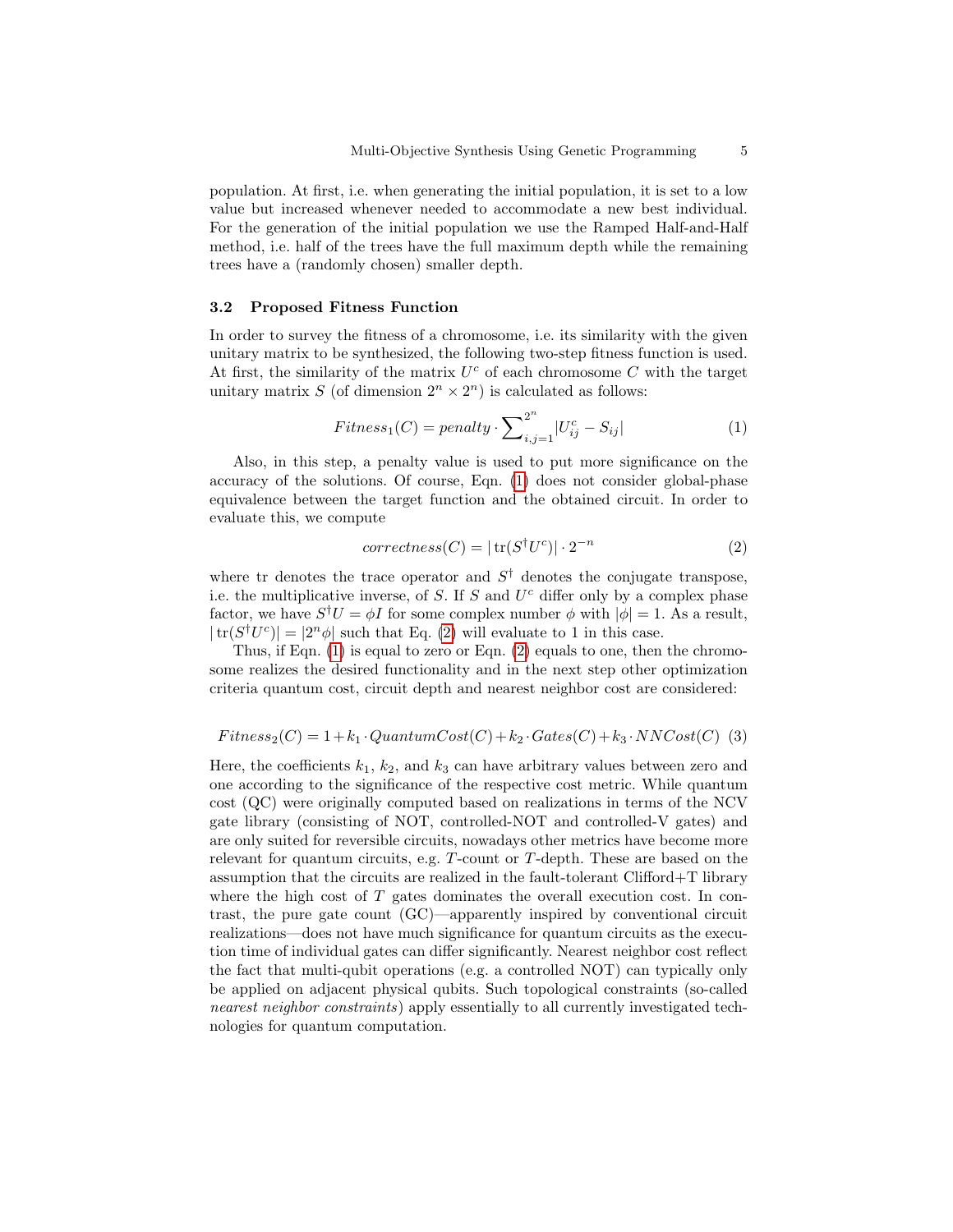population. At first, i.e. when generating the initial population, it is set to a low value but increased whenever needed to accommodate a new best individual. For the generation of the initial population we use the Ramped Half-and-Half method, i.e. half of the trees have the full maximum depth while the remaining trees have a (randomly chosen) smaller depth.

#### 3.2 Proposed Fitness Function

In order to survey the fitness of a chromosome, i.e. its similarity with the given unitary matrix to be synthesized, the following two-step fitness function is used. At first, the similarity of the matrix  $U^c$  of each chromosome  $C$  with the target unitary matrix S (of dimension  $2^n \times 2^n$ ) is calculated as follows:

<span id="page-4-0"></span>
$$
Fitness1(C) = penalty \cdot \sum_{i,j=1}^{2^n} |U_{ij}^c - S_{ij}|
$$
 (1)

Also, in this step, a penalty value is used to put more significance on the accuracy of the solutions. Of course, Eqn. [\(1\)](#page-4-0) does not consider global-phase equivalence between the target function and the obtained circuit. In order to evaluate this, we compute

<span id="page-4-1"></span>
$$
correctness(C) = |\operatorname{tr}(S^{\dagger}U^{c})| \cdot 2^{-n} \tag{2}
$$

where tr denotes the trace operator and  $S^{\dagger}$  denotes the conjugate transpose, i.e. the multiplicative inverse, of  $S$ . If  $S$  and  $U<sup>c</sup>$  differ only by a complex phase factor, we have  $S^{\dagger}U = \phi I$  for some complex number  $\phi$  with  $|\phi| = 1$ . As a result,  $|\text{tr}(S^{\dagger}U^{c})| = |2^{n}\phi|$  such that Eq. [\(2\)](#page-4-1) will evaluate to 1 in this case.

Thus, if Eqn. [\(1\)](#page-4-0) is equal to zero or Eqn. [\(2\)](#page-4-1) equals to one, then the chromosome realizes the desired functionality and in the next step other optimization criteria quantum cost, circuit depth and nearest neighbor cost are considered:

#### <span id="page-4-2"></span> $Fitness_2(C) = 1+k_1 \cdot QuantumCost(C) + k_2 \cdot Gates(C) + k_3 \cdot NNCost(C)$  (3)

Here, the coefficients  $k_1, k_2$ , and  $k_3$  can have arbitrary values between zero and one according to the significance of the respective cost metric. While quantum cost (QC) were originally computed based on realizations in terms of the NCV gate library (consisting of NOT, controlled-NOT and controlled-V gates) and are only suited for reversible circuits, nowadays other metrics have become more relevant for quantum circuits, e.g. T-count or T-depth. These are based on the assumption that the circuits are realized in the fault-tolerant Clifford+T library where the high cost of  $T$  gates dominates the overall execution cost. In contrast, the pure gate count (GC)—apparently inspired by conventional circuit realizations—does not have much significance for quantum circuits as the execution time of individual gates can differ significantly. Nearest neighbor cost reflect the fact that multi-qubit operations (e.g. a controlled NOT) can typically only be applied on adjacent physical qubits. Such topological constraints (so-called nearest neighbor constraints) apply essentially to all currently investigated technologies for quantum computation.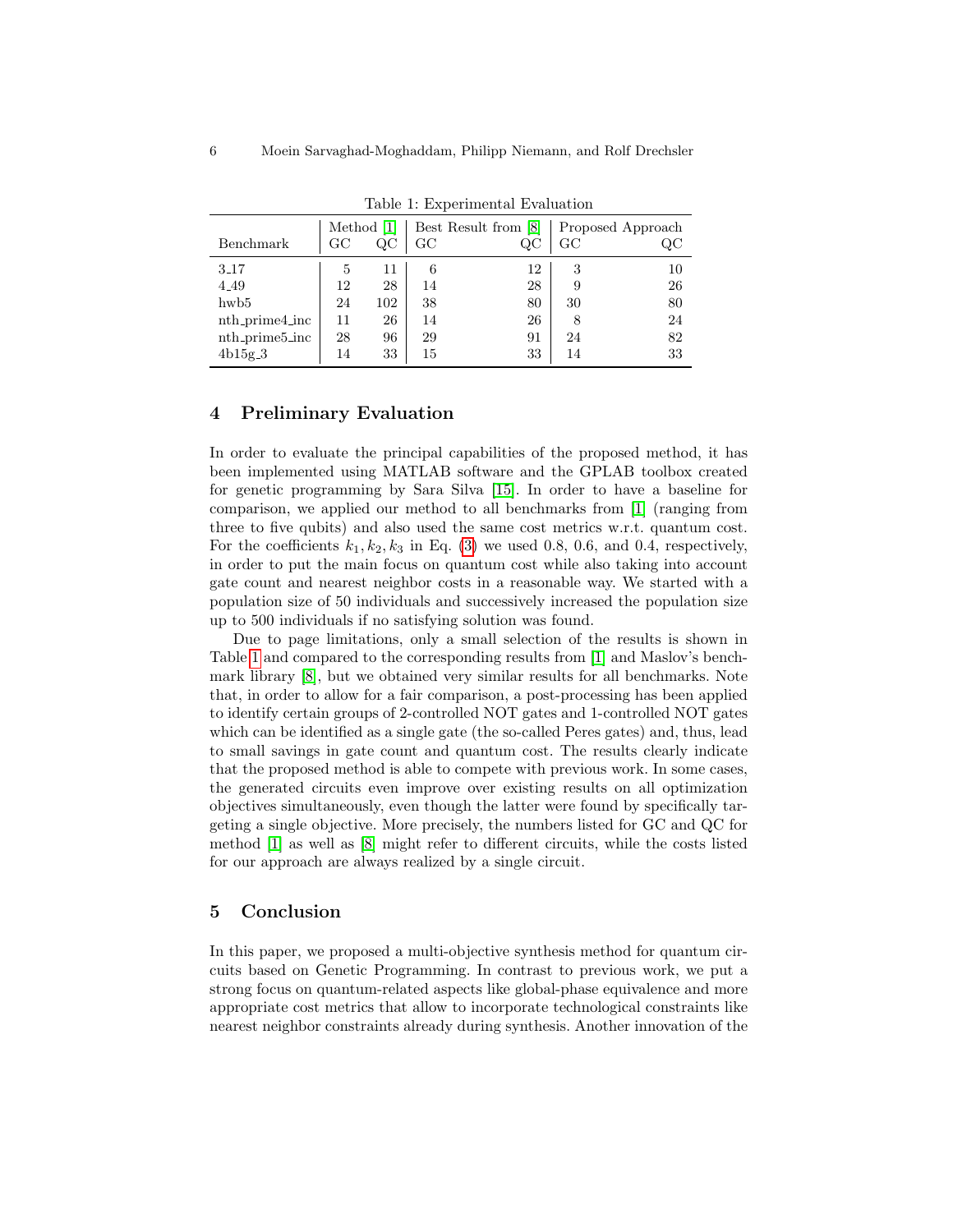<span id="page-5-0"></span>

|                | Method [1]   |          | Best Result from [8] |    | Proposed Approach |    |  |  |  |  |
|----------------|--------------|----------|----------------------|----|-------------------|----|--|--|--|--|
| Benchmark      | GC           | $\rm QC$ | $_{\rm GC}$          | QC | GC                | QC |  |  |  |  |
| 3.17           | $\mathbf{5}$ | 11       | 6                    | 12 | 3                 | 10 |  |  |  |  |
| 4.49           | 12           | 28       | 14                   | 28 | 9                 | 26 |  |  |  |  |
| hwb5           | 24           | 102      | 38                   | 80 | 30                | 80 |  |  |  |  |
| nth_prime4_inc | 11           | 26       | 14                   | 26 | 8                 | 24 |  |  |  |  |
| nth_prime5_inc | 28           | 96       | 29                   | 91 | 24                | 82 |  |  |  |  |
| $4b15g-3$      | 14           | 33       | 15                   | 33 | 14                | 33 |  |  |  |  |

Table 1: Experimental Evaluation

#### 4 Preliminary Evaluation

In order to evaluate the principal capabilities of the proposed method, it has been implemented using MATLAB software and the GPLAB toolbox created for genetic programming by Sara Silva [\[15\]](#page-6-15). In order to have a baseline for comparison, we applied our method to all benchmarks from [\[1\]](#page-6-11) (ranging from three to five qubits) and also used the same cost metrics w.r.t. quantum cost. For the coefficients  $k_1, k_2, k_3$  in Eq. [\(3\)](#page-4-2) we used 0.8, 0.6, and 0.4, respectively, in order to put the main focus on quantum cost while also taking into account gate count and nearest neighbor costs in a reasonable way. We started with a population size of 50 individuals and successively increased the population size up to 500 individuals if no satisfying solution was found.

Due to page limitations, only a small selection of the results is shown in Table [1](#page-5-0) and compared to the corresponding results from [\[1\]](#page-6-11) and Maslov's benchmark library [\[8\]](#page-6-14), but we obtained very similar results for all benchmarks. Note that, in order to allow for a fair comparison, a post-processing has been applied to identify certain groups of 2-controlled NOT gates and 1-controlled NOT gates which can be identified as a single gate (the so-called Peres gates) and, thus, lead to small savings in gate count and quantum cost. The results clearly indicate that the proposed method is able to compete with previous work. In some cases, the generated circuits even improve over existing results on all optimization objectives simultaneously, even though the latter were found by specifically targeting a single objective. More precisely, the numbers listed for GC and QC for method [\[1\]](#page-6-11) as well as [\[8\]](#page-6-14) might refer to different circuits, while the costs listed for our approach are always realized by a single circuit.

## 5 Conclusion

In this paper, we proposed a multi-objective synthesis method for quantum circuits based on Genetic Programming. In contrast to previous work, we put a strong focus on quantum-related aspects like global-phase equivalence and more appropriate cost metrics that allow to incorporate technological constraints like nearest neighbor constraints already during synthesis. Another innovation of the